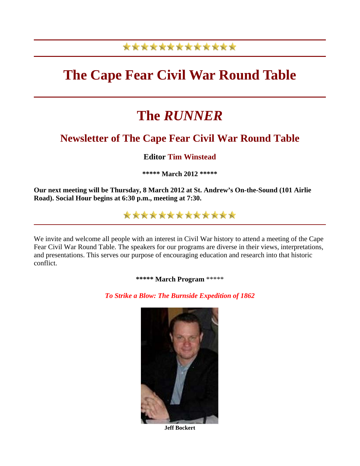## \*\*\*\*\*\*\*\*\*\*\*\*\*

## **The Cape Fear Civil War Round Table**

# **The** *RUNNER*

### **Newsletter of The Cape Fear Civil War Round Table**

### **Editor Tim Winstead**

**\*\*\*\*\* March 2012 \*\*\*\*\***

**Our next meeting will be Thursday, 8 March 2012 at St. Andrew's On-the-Sound (101 Airlie Road). Social Hour begins at 6:30 p.m., meeting at 7:30.**



We invite and welcome all people with an interest in Civil War history to attend a meeting of the Cape Fear Civil War Round Table. The speakers for our programs are diverse in their views, interpretations, and presentations. This serves our purpose of encouraging education and research into that historic conflict.

**\*\*\*\*\* March Program** \*\*\*\*\*

*To Strike a Blow: The Burnside Expedition of 1862*



**Jeff Bockert**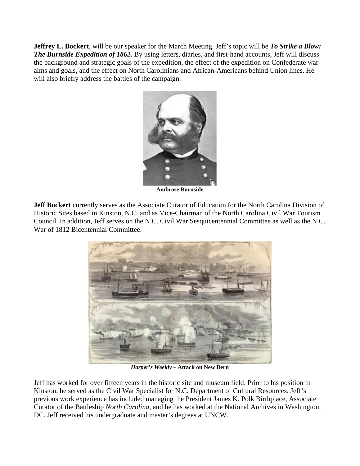**Jeffrey L. Bockert**, will be our speaker for the March Meeting. Jeff's topic will be *To Strike a Blow: The Burnside Expedition of 1862.* By using letters, diaries, and first-hand accounts, Jeff will discuss the background and strategic goals of the expedition, the effect of the expedition on Confederate war aims and goals, and the effect on North Carolinians and African-Americans behind Union lines. He will also briefly address the battles of the campaign.



**Ambrose Burnside**

**Jeff Bockert** currently serves as the Associate Curator of Education for the North Carolina Division of Historic Sites based in Kinston, N.C. and as Vice-Chairman of the North Carolina Civil War Tourism Council. In addition, Jeff serves on the N.C. Civil War Sesquicentennial Committee as well as the N.C. War of 1812 Bicentennial Committee.



*Harper's Weekly* **– Attack on New Bern**

Jeff has worked for over fifteen years in the historic site and museum field. Prior to his position in Kinston, he served as the Civil War Specialist for N.C. Department of Cultural Resources. Jeff's previous work experience has included managing the President James K. Polk Birthplace, Associate Curator of the Battleship *North Carolina,* and he has worked at the National Archives in Washington, DC. Jeff received his undergraduate and master's degrees at UNCW.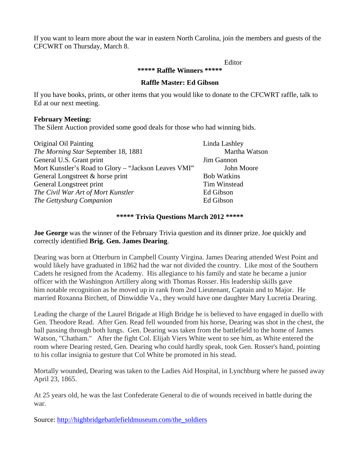If you want to learn more about the war in eastern North Carolina, join the members and guests of the CFCWRT on Thursday, March 8.

Editor

**\*\*\*\*\* Raffle Winners \*\*\*\*\***

#### **Raffle Master: Ed Gibson**

If you have books, prints, or other items that you would like to donate to the CFCWRT raffle, talk to Ed at our next meeting.

#### **February Meeting:**

The Silent Auction provided some good deals for those who had winning bids.

| Original Oil Painting                                | Linda Lashley      |
|------------------------------------------------------|--------------------|
| The Morning Star September 18, 1881                  | Martha Watson      |
| General U.S. Grant print                             | Jim Gannon         |
| Mort Kunstler's Road to Glory - "Jackson Leaves VMI" | John Moore         |
| General Longstreet & horse print                     | <b>Bob Watkins</b> |
| General Longstreet print                             | Tim Winstead       |
| The Civil War Art of Mort Kunstler                   | Ed Gibson          |
| The Gettysburg Companion                             | Ed Gibson          |
|                                                      |                    |

#### **\*\*\*\*\* Trivia Questions March 2012 \*\*\*\*\***

**Joe George** was the winner of the February Trivia question and its dinner prize. Joe quickly and correctly identified **Brig. Gen. James Dearing**.

Dearing was born at Otterburn in Campbell County Virgina. James Dearing attended West Point and would likely have graduated in 1862 had the war not divided the country. Like most of the Southern Cadets he resigned from the Academy. His allegiance to his family and state he became a junior officer with the Washington Artillery along with Thomas Rosser. His leadership skills gave him notable recognition as he moved up in rank from 2nd Lieutenant, Captain and to Major. He married Roxanna Birchett, of Dinwiddie Va., they would have one daughter Mary Lucretia Dearing.

Leading the charge of the Laurel Brigade at High Bridge he is believed to have engaged in duello with Gen. Theodore Read. After Gen. Read fell wounded from his horse, Dearing was shot in the chest, the ball passing through both lungs. Gen. Dearing was taken from the battlefield to the home of James Watson, "Chatham." After the fight Col. Elijah Viers White went to see him, as White entered the room where Dearing rested, Gen. Dearing who could hardly speak, took Gen. Rosser's hand, pointing to his collar insignia to gesture that Col White be promoted in his stead.

Mortally wounded, Dearing was taken to the Ladies Aid Hospital, in Lynchburg where he passed away April 23, 1865.

At 25 years old, he was the last Confederate General to die of wounds received in battle during the war.

Source: [http://highbridgebattlefieldmuseum.com/the\\_soldiers](http://highbridgebattlefieldmuseum.com/the_soldiers)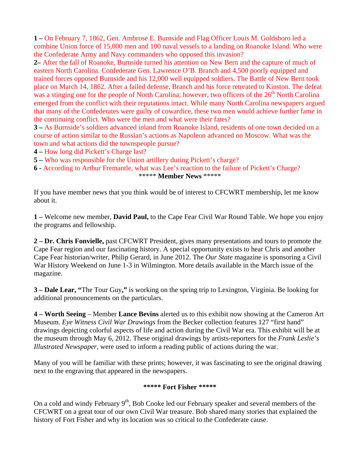**1 –** On February 7, 1862, Gen. Ambrose E. Burnside and Flag Officer Louis M. Goldsboro led a combine Union force of 15,000 men and 100 naval vessels to a landing on Roanoke Island. Who were the Confederate Army and Navy commanders who opposed this invasion?

**2–** After the fall of Roanoke, Burnside turned his attention on New Bern and the capture of much of eastern North Carolina. Confederate Gen. Lawrence O'B. Branch and 4,500 poorly equipped and trained forces opposed Burnside and his 12,000 well equipped soldiers. The Battle of New Bern took place on March 14, 1862. After a failed defense, Branch and his force retreated to Kinston. The defeat was a stinging one for the people of North Carolina; however, two officers of the 26<sup>th</sup> North Carolina emerged from the conflict with their reputations intact. While many North Carolina newspapers argued that many of the Confederates were guilty of cowardice, these two men would achieve further fame in the continuing conflict. Who were the men and what were their fates?

**3 –** As Burnside's soldiers advanced inland from Roanoke Island, residents of one town decided on a course of action similar to the Russian's actions as Napoleon advanced on Moscow. What was the town and what actions did the townspeople pursue?

- **4** How long did Pickett's Charge last?
- **5** Who was responsible for the Union artillery during Pickett's charge?
- **6** According to Arthur Fremantle, what was Lee's reaction to the failure of Pickett's Charge?

\*\*\*\*\* **Member News** \*\*\*\*\*

If you have member news that you think would be of interest to CFCWRT membership, let me know about it.

**1 –** Welcome new member, **David Paul,** to the Cape Fear Civil War Round Table. We hope you enjoy the programs and fellowship.

**2 – Dr. Chris Fonvielle,** past CFCWRT President, gives many presentations and tours to promote the Cape Fear region and our fascinating history. A special opportunity exists to hear Chris and another Cape Fear historian/writer, Philip Gerard, in June 2012. The *Our State* magazine is sponsoring a Civil War History Weekend on June 1-3 in Wilmington. More details available in the March issue of the magazine.

**3 – Dale Lear, "**The Tour Guy**,"** is working on the spring trip to Lexington, Virginia. Be looking for additional pronouncements on the particulars.

**4 – Worth Seeing** – Member **Lance Bevins** alerted us to this exhibit now showing at the Cameron Art Museum. *Eye Witness Civil War Drawings* from the Becker collection features 127 "first hand" drawings depicting colorful aspects of life and action during the Civil War era. This exhibit will be at the museum through May 6, 2012. These original drawings by artists-reporters for the *Frank Leslie's Illustrated Newspaper,* were used to inform a reading public of actions during the war.

Many of you will be familiar with these prints; however, it was fascinating to see the original drawing next to the engraving that appeared in the newspapers.

#### **\*\*\*\*\* Fort Fisher \*\*\*\*\***

On a cold and windy February  $9<sup>th</sup>$ , Bob Cooke led our February speaker and several members of the CFCWRT on a great tour of our own Civil War treasure. Bob shared many stories that explained the history of Fort Fisher and why its location was so critical to the Confederate cause.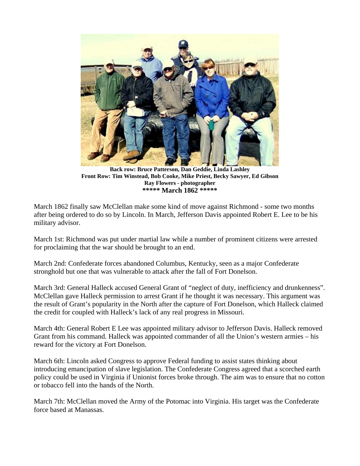

**Back row: Bruce Patterson, Dan Geddie, Linda Lashley Front Row: Tim Winstead, Bob Cooke, Mike Priest, Becky Sawyer, Ed Gibson Ray Flowers - photographer \*\*\*\*\* March 1862 \*\*\*\*\***

March 1862 finally saw McClellan make some kind of move against Richmond - some two months after being ordered to do so by Lincoln. In March, Jefferson Davis appointed Robert E. Lee to be his military advisor.

March 1st: Richmond was put under martial law while a number of prominent citizens were arrested for proclaiming that the war should be brought to an end.

March 2nd: Confederate forces abandoned Columbus, Kentucky, seen as a major Confederate stronghold but one that was vulnerable to attack after the fall of Fort Donelson.

March 3rd: General Halleck accused General Grant of "neglect of duty, inefficiency and drunkenness". McClellan gave Halleck permission to arrest Grant if he thought it was necessary. This argument was the result of Grant's popularity in the North after the capture of Fort Donelson, which Halleck claimed the credit for coupled with Halleck's lack of any real progress in Missouri.

March 4th: General Robert E Lee was appointed military advisor to Jefferson Davis. Halleck removed Grant from his command. Halleck was appointed commander of all the Union's western armies – his reward for the victory at Fort Donelson.

March 6th: Lincoln asked Congress to approve Federal funding to assist states thinking about introducing emancipation of slave legislation. The Confederate Congress agreed that a scorched earth policy could be used in Virginia if Unionist forces broke through. The aim was to ensure that no cotton or tobacco fell into the hands of the North.

March 7th: McClellan moved the Army of the Potomac into Virginia. His target was the Confederate force based at Manassas.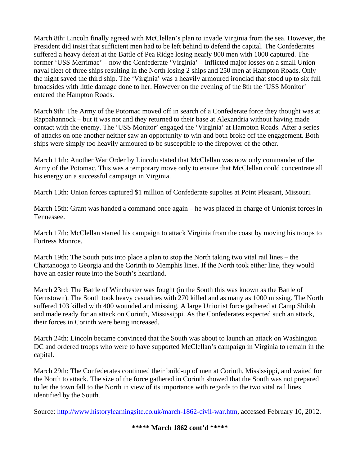March 8th: Lincoln finally agreed with McClellan's plan to invade Virginia from the sea. However, the President did insist that sufficient men had to be left behind to defend the capital. The Confederates suffered a heavy defeat at the Battle of Pea Ridge losing nearly 800 men with 1000 captured. The former 'USS Merrimac' – now the Confederate 'Virginia' – inflicted major losses on a small Union naval fleet of three ships resulting in the North losing 2 ships and 250 men at Hampton Roads. Only the night saved the third ship. The 'Virginia' was a heavily armoured ironclad that stood up to six full broadsides with little damage done to her. However on the evening of the 8th the 'USS Monitor' entered the Hampton Roads.

March 9th: The Army of the Potomac moved off in search of a Confederate force they thought was at Rappahannock – but it was not and they returned to their base at Alexandria without having made contact with the enemy. The 'USS Monitor' engaged the 'Virginia' at Hampton Roads. After a series of attacks on one another neither saw an opportunity to win and both broke off the engagement. Both ships were simply too heavily armoured to be susceptible to the firepower of the other.

March 11th: Another War Order by Lincoln stated that McClellan was now only commander of the Army of the Potomac. This was a temporary move only to ensure that McClellan could concentrate all his energy on a successful campaign in Virginia.

March 13th: Union forces captured \$1 million of Confederate supplies at Point Pleasant, Missouri.

March 15th: Grant was handed a command once again – he was placed in charge of Unionist forces in Tennessee.

March 17th: McClellan started his campaign to attack Virginia from the coast by moving his troops to Fortress Monroe.

March 19th: The South puts into place a plan to stop the North taking two vital rail lines – the Chattanooga to Georgia and the Corinth to Memphis lines. If the North took either line, they would have an easier route into the South's heartland.

March 23rd: The Battle of Winchester was fought (in the South this was known as the Battle of Kernstown). The South took heavy casualties with 270 killed and as many as 1000 missing. The North suffered 103 killed with 400 wounded and missing. A large Unionist force gathered at Camp Shiloh and made ready for an attack on Corinth, Mississippi. As the Confederates expected such an attack, their forces in Corinth were being increased.

March 24th: Lincoln became convinced that the South was about to launch an attack on Washington DC and ordered troops who were to have supported McClellan's campaign in Virginia to remain in the capital.

March 29th: The Confederates continued their build-up of men at Corinth, Mississippi, and waited for the North to attack. The size of the force gathered in Corinth showed that the South was not prepared to let the town fall to the North in view of its importance with regards to the two vital rail lines identified by the South.

Source: [http://www.historylearningsite.co.uk/march-1862-civil-war.htm,](http://www.historylearningsite.co.uk/march-1862-civil-war.htm) accessed February 10, 2012.

**\*\*\*\*\* March 1862 cont'd \*\*\*\*\***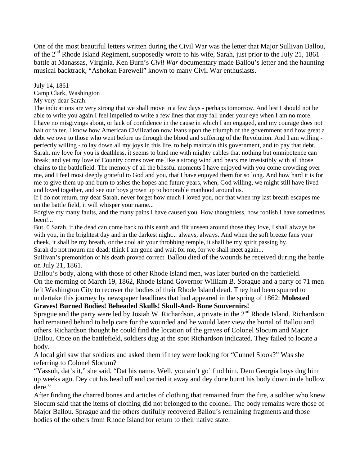One of the most beautiful letters written during the Civil War was the letter that Major Sullivan Ballou, of the 2<sup>nd</sup> Rhode Island Regiment, supposedly wrote to his wife, Sarah, just prior to the July 21, 1861 battle at Manassas, Virginia. Ken Burn's *Civil War* documentary made Ballou's letter and the haunting musical backtrack, "Ashokan Farewell" known to many Civil War enthusiasts.

July 14, 1861

Camp Clark, Washington

My very dear Sarah:

The indications are very strong that we shall move in a few days - perhaps tomorrow. And lest I should not be able to write you again I feel impelled to write a few lines that may fall under your eye when I am no more. I have no misgivings about, or lack of confidence in the cause in which I am engaged, and my courage does not halt or falter. I know how American Civilization now leans upon the triumph of the government and how great a debt we owe to those who went before us through the blood and suffering of the Revolution. And I am willing perfectly willing - to lay down all my joys in this life, to help maintain this government, and to pay that debt. Sarah, my love for you is deathless, it seems to bind me with mighty cables that nothing but omnipotence can break; and yet my love of Country comes over me like a strong wind and bears me irresistibly with all those chains to the battlefield. The memory of all the blissful moments I have enjoyed with you come crowding over me, and I feel most deeply grateful to God and you, that I have enjoyed them for so long. And how hard it is for me to give them up and burn to ashes the hopes and future years, when, God willing, we might still have lived and loved together, and see our boys grown up to honorable manhood around us.

If I do not return, my dear Sarah, never forget how much I loved you, nor that when my last breath escapes me on the battle field, it will whisper your name...

Forgive my many faults, and the many pains I have caused you. How thoughtless, how foolish I have sometimes been!...

But, 0 Sarah, if the dead can come back to this earth and flit unseen around those they love, I shall always be with you, in the brightest day and in the darkest night... always, always. And when the soft breeze fans your cheek, it shall be my breath, or the cool air your throbbing temple, it shall be my spirit passing by. Sarah do not mourn me dead; think I am gone and wait for me, for we shall meet again...

Sullivan's premonition of his death proved correct. Ballou died of the wounds he received during the battle on July 21, 1861.

Ballou's body, along with those of other Rhode Island men, was later buried on the battlefield. On the morning of March 19, 1862, Rhode Island Governor William B. Sprague and a party of 71 men left Washington City to recover the bodies of their Rhode Island dead. They had been spurred to undertake this journey by newspaper headlines that had appeared in the spring of 1862: **Molested** 

**Graves! Burned Bodies! Beheaded Skulls! Skull-And- Bone Souvernirs!** Sprague and the party were led by Josiah W. Richardson, a private in the  $2<sup>nd</sup>$  Rhode Island. Richardson

had remained behind to help care for the wounded and he would later view the burial of Ballou and others. Richardson thought he could find the location of the graves of Colonel Slocum and Major Ballou. Once on the battlefield, soldiers dug at the spot Richardson indicated. They failed to locate a body.

A local girl saw that soldiers and asked them if they were looking for "Cunnel Slook?" Was she referring to Colonel Slocum?

"Yassuh, dat's it," she said. "Dat his name. Well, you ain't go' find him. Dem Georgia boys dug him up weeks ago. Dey cut his head off and carried it away and dey done burnt his body down in de hollow dere."

After finding the charred bones and articles of clothing that remained from the fire, a soldier who knew Slocum said that the items of clothing did not belonged to the colonel. The body remains were those of Major Ballou. Sprague and the others dutifully recovered Ballou's remaining fragments and those bodies of the others from Rhode Island for return to their native state.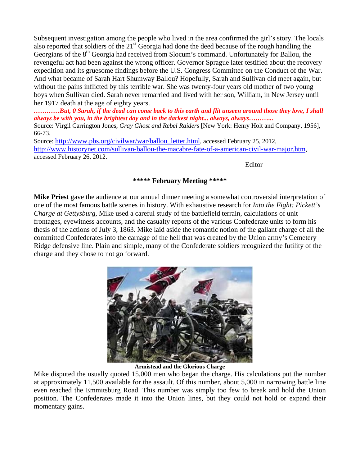Subsequent investigation among the people who lived in the area confirmed the girl's story. The locals also reported that soldiers of the  $21<sup>st</sup>$  Georgia had done the deed because of the rough handling the Georgians of the  $8<sup>th</sup>$  Georgia had received from Slocum's command. Unfortunately for Ballou, the revengeful act had been against the wrong officer. Governor Sprague later testified about the recovery expedition and its gruesome findings before the U.S. Congress Committee on the Conduct of the War. And what became of Sarah Hart Shumway Ballou? Hopefully, Sarah and Sullivan did meet again, but without the pains inflicted by this terrible war. She was twenty-four years old mother of two young boys when Sullivan died. Sarah never remarried and lived with her son, William, in New Jersey until her 1917 death at the age of eighty years.

*…………But, 0 Sarah, if the dead can come back to this earth and flit unseen around those they love, I shall always be with you, in the brightest day and in the darkest night... always, always………...*

Source: Virgil Carrington Jones, *Gray Ghost and Rebel Raiders* [New York: Henry Holt and Company, 1956], 66-73.

Source: [http://www.pbs.org/civilwar/war/ballou\\_letter.html](http://www.pbs.org/civilwar/war/ballou_letter.html), accessed February 25, 2012, [http://www.historynet.com/sullivan-ballou-the-macabre-fate-of-a-american-civil-war-major.htm,](http://www.historynet.com/sullivan-ballou-the-macabre-fate-of-a-american-civil-war-major.htm) accessed February 26, 2012.

Editor

#### **\*\*\*\*\* February Meeting \*\*\*\*\***

**Mike Priest** gave the audience at our annual dinner meeting a somewhat controversial interpretation of one of the most famous battle scenes in history. With exhaustive research for *Into the Fight: Pickett's Charge at Gettysburg,* Mike used a careful study of the battlefield terrain, calculations of unit frontages, eyewitness accounts, and the casualty reports of the various Confederate units to form his thesis of the actions of July 3, 1863. Mike laid aside the romantic notion of the gallant charge of all the committed Confederates into the carnage of the hell that was created by the Union army's Cemetery Ridge defensive line. Plain and simple, many of the Confederate soldiers recognized the futility of the charge and they chose to not go forward.



**Armistead and the Glorious Charge**

Mike disputed the usually quoted 15,000 men who began the charge. His calculations put the number at approximately 11,500 available for the assault. Of this number, about 5,000 in narrowing battle line even reached the Emmitsburg Road. This number was simply too few to break and hold the Union position. The Confederates made it into the Union lines, but they could not hold or expand their momentary gains.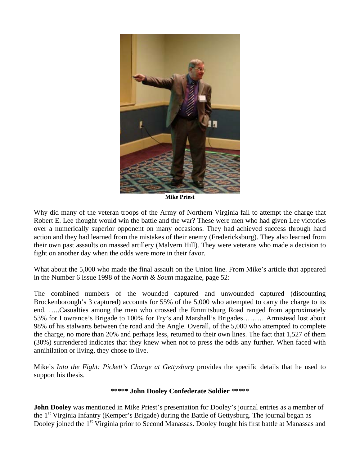

**Mike Priest**

Why did many of the veteran troops of the Army of Northern Virginia fail to attempt the charge that Robert E. Lee thought would win the battle and the war? These were men who had given Lee victories over a numerically superior opponent on many occasions. They had achieved success through hard action and they had learned from the mistakes of their enemy (Fredericksburg). They also learned from their own past assaults on massed artillery (Malvern Hill). They were veterans who made a decision to fight on another day when the odds were more in their favor.

What about the 5,000 who made the final assault on the Union line. From Mike's article that appeared in the Number 6 Issue 1998 of the *North & South* magazine, page 52:

The combined numbers of the wounded captured and unwounded captured (discounting Brockenborough's 3 captured) accounts for 55% of the 5,000 who attempted to carry the charge to its end. …..Casualties among the men who crossed the Emmitsburg Road ranged from approximately 53% for Lowrance's Brigade to 100% for Fry's and Marshall's Brigades……… Armistead lost about 98% of his stalwarts between the road and the Angle. Overall, of the 5,000 who attempted to complete the charge, no more than 20% and perhaps less, returned to their own lines. The fact that 1,527 of them (30%) surrendered indicates that they knew when not to press the odds any further. When faced with annihilation or living, they chose to live.

Mike's *Into the Fight: Pickett's Charge at Gettysburg* provides the specific details that he used to support his thesis.

#### **\*\*\*\*\* John Dooley Confederate Soldier \*\*\*\*\***

**John Dooley** was mentioned in Mike Priest's presentation for Dooley's journal entries as a member of the 1<sup>st</sup> Virginia Infantry (Kemper's Brigade) during the Battle of Gettysburg. The journal began as Dooley joined the 1<sup>st</sup> Virginia prior to Second Manassas. Dooley fought his first battle at Manassas and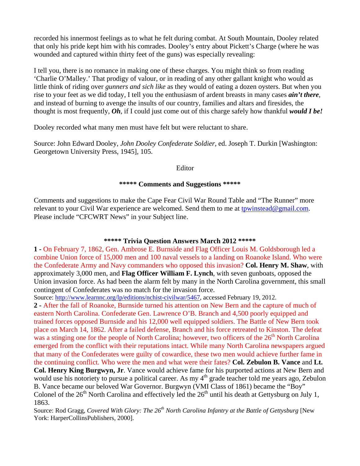recorded his innermost feelings as to what he felt during combat. At South Mountain, Dooley related that only his pride kept him with his comrades. Dooley's entry about Pickett's Charge (where he was wounded and captured within thirty feet of the guns) was especially revealing:

I tell you, there is no romance in making one of these charges. You might think so from reading 'Charlie O'Malley.' That prodigy of valour, or in reading of any other gallant knight who would as little think of riding over *gunners and sich like* as they would of eating a dozen oysters. But when you rise to your feet as we did today, I tell you the enthusiasm of ardent breasts in many cases *ain't there*, and instead of burning to avenge the insults of our country, families and altars and firesides, the thought is most frequently, *Oh*, if I could just come out of this charge safely how thankful *would I be!*

Dooley recorded what many men must have felt but were reluctant to share.

Source: John Edward Dooley, *John Dooley Confederate Soldier,* ed. Joseph T. Durkin [Washington: Georgetown University Press, 1945], 105.

Editor

#### **\*\*\*\*\* Comments and Suggestions \*\*\*\*\***

Comments and suggestions to make the Cape Fear Civil War Round Table and "The Runner" more relevant to your Civil War experience are welcomed. Send them to me at [tpwinstead@gmail.com.](mailto:tpwinstead@gmail.com) Please include "CFCWRT News" in your Subject line.

#### **\*\*\*\*\* Trivia Question Answers March 2012 \*\*\*\*\***

**1 -** On February 7, 1862, Gen. Ambrose E. Burnside and Flag Officer Louis M. Goldsborough led a combine Union force of 15,000 men and 100 naval vessels to a landing on Roanoke Island. Who were the Confederate Army and Navy commanders who opposed this invasion? **Col. Henry M. Shaw**, with approximately 3,000 men, and **Flag Officer William F. Lynch**, with seven gunboats, opposed the Union invasion force. As had been the alarm felt by many in the North Carolina government, this small contingent of Confederates was no match for the invasion force.

Source: <http://www.learnnc.org/lp/editions/nchist-civilwar/5467>, accessed February 19, 2012.

**2 -** After the fall of Roanoke, Burnside turned his attention on New Bern and the capture of much of eastern North Carolina. Confederate Gen. Lawrence O'B. Branch and 4,500 poorly equipped and trained forces opposed Burnside and his 12,000 well equipped soldiers. The Battle of New Bern took place on March 14, 1862. After a failed defense, Branch and his force retreated to Kinston. The defeat was a stinging one for the people of North Carolina; however, two officers of the 26<sup>th</sup> North Carolina emerged from the conflict with their reputations intact. While many North Carolina newspapers argued that many of the Confederates were guilty of cowardice, these two men would achieve further fame in the continuing conflict. Who were the men and what were their fates? **Col. Zebulon B. Vance** and **Lt. Col. Henry King Burgwyn, Jr**. Vance would achieve fame for his purported actions at New Bern and would use his notoriety to pursue a political career. As my 4<sup>th</sup> grade teacher told me years ago, Zebulon B. Vance became our beloved War Governor. Burgwyn (VMI Class of 1861) became the "Boy" Colonel of the  $26<sup>th</sup>$  North Carolina and effectively led the  $26<sup>th</sup>$  until his death at Gettysburg on July 1, 1863.

Source: Rod Gragg, *Covered With Glory: The 26<sup>th</sup> North Carolina Infantry at the Battle of Gettysburg* [New York: HarperCollinsPublishers, 2000].